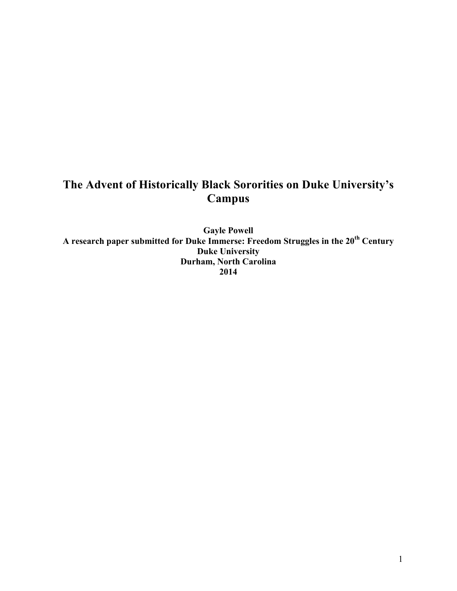# **The Advent of Historically Black Sororities on Duke University's Campus**

**Gayle Powell A research paper submitted for Duke Immerse: Freedom Struggles in the 20th Century Duke University Durham, North Carolina 2014**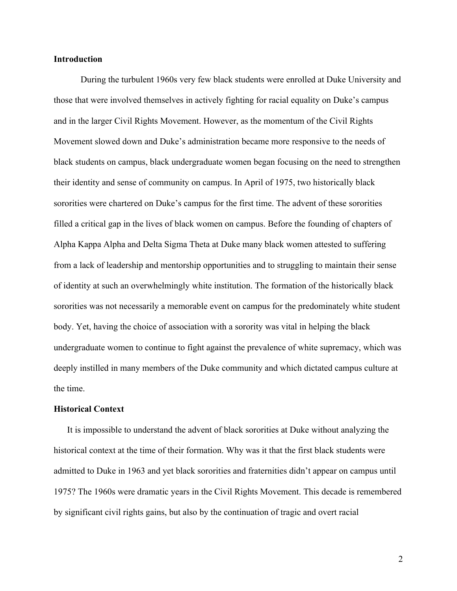#### **Introduction**

During the turbulent 1960s very few black students were enrolled at Duke University and those that were involved themselves in actively fighting for racial equality on Duke's campus and in the larger Civil Rights Movement. However, as the momentum of the Civil Rights Movement slowed down and Duke's administration became more responsive to the needs of black students on campus, black undergraduate women began focusing on the need to strengthen their identity and sense of community on campus. In April of 1975, two historically black sororities were chartered on Duke's campus for the first time. The advent of these sororities filled a critical gap in the lives of black women on campus. Before the founding of chapters of Alpha Kappa Alpha and Delta Sigma Theta at Duke many black women attested to suffering from a lack of leadership and mentorship opportunities and to struggling to maintain their sense of identity at such an overwhelmingly white institution. The formation of the historically black sororities was not necessarily a memorable event on campus for the predominately white student body. Yet, having the choice of association with a sorority was vital in helping the black undergraduate women to continue to fight against the prevalence of white supremacy, which was deeply instilled in many members of the Duke community and which dictated campus culture at the time.

#### **Historical Context**

It is impossible to understand the advent of black sororities at Duke without analyzing the historical context at the time of their formation. Why was it that the first black students were admitted to Duke in 1963 and yet black sororities and fraternities didn't appear on campus until 1975? The 1960s were dramatic years in the Civil Rights Movement. This decade is remembered by significant civil rights gains, but also by the continuation of tragic and overt racial

2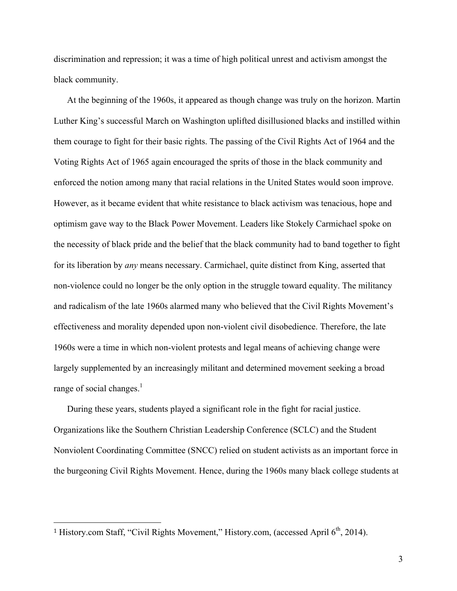discrimination and repression; it was a time of high political unrest and activism amongst the black community.

At the beginning of the 1960s, it appeared as though change was truly on the horizon. Martin Luther King's successful March on Washington uplifted disillusioned blacks and instilled within them courage to fight for their basic rights. The passing of the Civil Rights Act of 1964 and the Voting Rights Act of 1965 again encouraged the sprits of those in the black community and enforced the notion among many that racial relations in the United States would soon improve. However, as it became evident that white resistance to black activism was tenacious, hope and optimism gave way to the Black Power Movement. Leaders like Stokely Carmichael spoke on the necessity of black pride and the belief that the black community had to band together to fight for its liberation by *any* means necessary. Carmichael, quite distinct from King, asserted that non-violence could no longer be the only option in the struggle toward equality. The militancy and radicalism of the late 1960s alarmed many who believed that the Civil Rights Movement's effectiveness and morality depended upon non-violent civil disobedience. Therefore, the late 1960s were a time in which non-violent protests and legal means of achieving change were largely supplemented by an increasingly militant and determined movement seeking a broad range of social changes. $<sup>1</sup>$ </sup>

During these years, students played a significant role in the fight for racial justice. Organizations like the Southern Christian Leadership Conference (SCLC) and the Student Nonviolent Coordinating Committee (SNCC) relied on student activists as an important force in the burgeoning Civil Rights Movement. Hence, during the 1960s many black college students at

 

<sup>&</sup>lt;sup>1</sup> History.com Staff, "Civil Rights Movement," History.com, (accessed April 6<sup>th</sup>, 2014).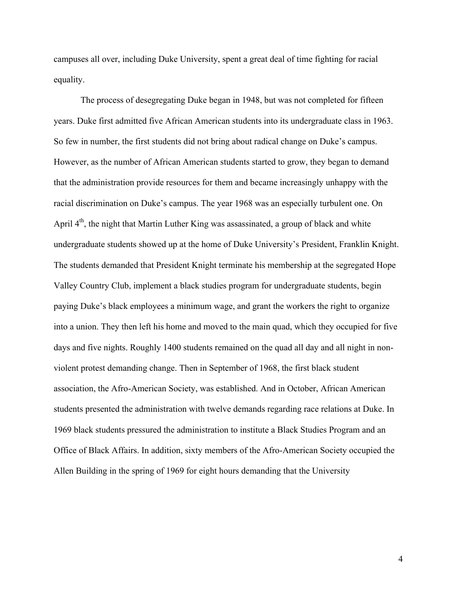campuses all over, including Duke University, spent a great deal of time fighting for racial equality.

The process of desegregating Duke began in 1948, but was not completed for fifteen years. Duke first admitted five African American students into its undergraduate class in 1963. So few in number, the first students did not bring about radical change on Duke's campus. However, as the number of African American students started to grow, they began to demand that the administration provide resources for them and became increasingly unhappy with the racial discrimination on Duke's campus. The year 1968 was an especially turbulent one. On April 4<sup>th</sup>, the night that Martin Luther King was assassinated, a group of black and white undergraduate students showed up at the home of Duke University's President, Franklin Knight. The students demanded that President Knight terminate his membership at the segregated Hope Valley Country Club, implement a black studies program for undergraduate students, begin paying Duke's black employees a minimum wage, and grant the workers the right to organize into a union. They then left his home and moved to the main quad, which they occupied for five days and five nights. Roughly 1400 students remained on the quad all day and all night in nonviolent protest demanding change. Then in September of 1968, the first black student association, the Afro-American Society, was established. And in October, African American students presented the administration with twelve demands regarding race relations at Duke. In 1969 black students pressured the administration to institute a Black Studies Program and an Office of Black Affairs. In addition, sixty members of the Afro-American Society occupied the Allen Building in the spring of 1969 for eight hours demanding that the University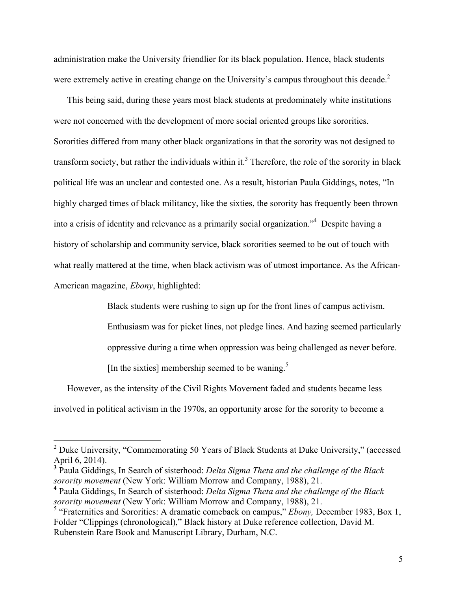administration make the University friendlier for its black population. Hence, black students were extremely active in creating change on the University's campus throughout this decade.<sup>2</sup>

This being said, during these years most black students at predominately white institutions were not concerned with the development of more social oriented groups like sororities. Sororities differed from many other black organizations in that the sorority was not designed to transform society, but rather the individuals within it.<sup>3</sup> Therefore, the role of the sorority in black political life was an unclear and contested one. As a result, historian Paula Giddings, notes, "In highly charged times of black militancy, like the sixties, the sorority has frequently been thrown into a crisis of identity and relevance as a primarily social organization."4 Despite having a history of scholarship and community service, black sororities seemed to be out of touch with what really mattered at the time, when black activism was of utmost importance. As the African-American magazine, *Ebony*, highlighted:

Black students were rushing to sign up for the front lines of campus activism.

Enthusiasm was for picket lines, not pledge lines. And hazing seemed particularly

oppressive during a time when oppression was being challenged as never before.

[In the sixties] membership seemed to be waning.<sup>5</sup>

However, as the intensity of the Civil Rights Movement faded and students became less involved in political activism in the 1970s, an opportunity arose for the sorority to become a

<sup>&</sup>lt;sup>2</sup> Duke University, "Commemorating 50 Years of Black Students at Duke University," (accessed April 6, 2014).

**<sup>3</sup>** Paula Giddings, In Search of sisterhood: *Delta Sigma Theta and the challenge of the Black sorority movement* (New York: William Morrow and Company, 1988), 21.

**<sup>4</sup>** Paula Giddings, In Search of sisterhood: *Delta Sigma Theta and the challenge of the Black sorority movement* (New York: William Morrow and Company, 1988), 21.

<sup>5</sup> "Fraternities and Sororities: A dramatic comeback on campus," *Ebony,* December 1983, Box 1, Folder "Clippings (chronological)," Black history at Duke reference collection, David M. Rubenstein Rare Book and Manuscript Library, Durham, N.C.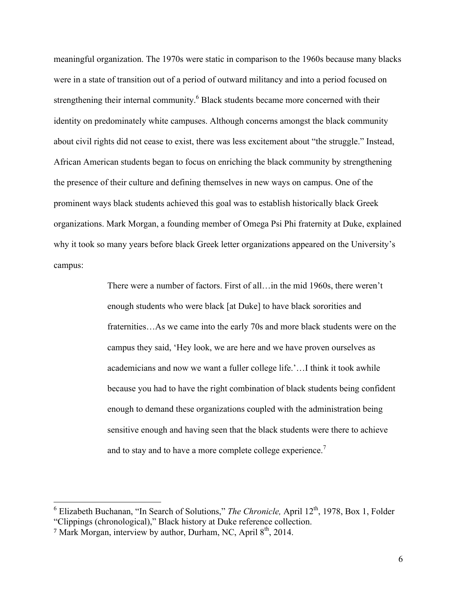meaningful organization. The 1970s were static in comparison to the 1960s because many blacks were in a state of transition out of a period of outward militancy and into a period focused on strengthening their internal community.<sup>6</sup> Black students became more concerned with their identity on predominately white campuses. Although concerns amongst the black community about civil rights did not cease to exist, there was less excitement about "the struggle." Instead, African American students began to focus on enriching the black community by strengthening the presence of their culture and defining themselves in new ways on campus. One of the prominent ways black students achieved this goal was to establish historically black Greek organizations. Mark Morgan, a founding member of Omega Psi Phi fraternity at Duke, explained why it took so many years before black Greek letter organizations appeared on the University's campus:

> There were a number of factors. First of all…in the mid 1960s, there weren't enough students who were black [at Duke] to have black sororities and fraternities…As we came into the early 70s and more black students were on the campus they said, 'Hey look, we are here and we have proven ourselves as academicians and now we want a fuller college life.'…I think it took awhile because you had to have the right combination of black students being confident enough to demand these organizations coupled with the administration being sensitive enough and having seen that the black students were there to achieve and to stay and to have a more complete college experience.<sup>7</sup>

<sup>&</sup>lt;sup>6</sup> Elizabeth Buchanan, "In Search of Solutions," *The Chronicle*, April 12<sup>th</sup>, 1978, Box 1, Folder "Clippings (chronological)," Black history at Duke reference collection.

<sup>&</sup>lt;sup>7</sup> Mark Morgan, interview by author, Durham, NC, April  $8<sup>th</sup>$ , 2014.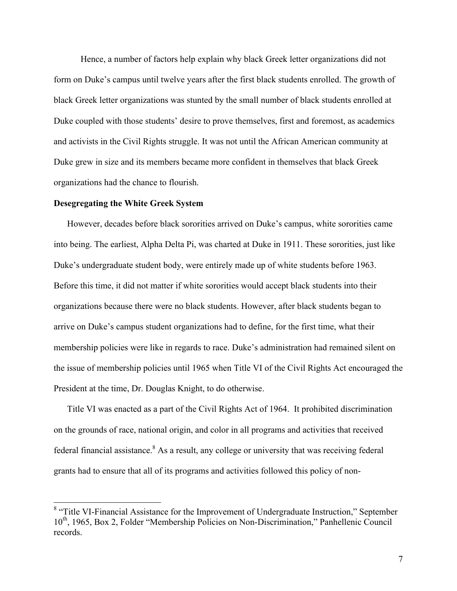Hence, a number of factors help explain why black Greek letter organizations did not form on Duke's campus until twelve years after the first black students enrolled. The growth of black Greek letter organizations was stunted by the small number of black students enrolled at Duke coupled with those students' desire to prove themselves, first and foremost, as academics and activists in the Civil Rights struggle. It was not until the African American community at Duke grew in size and its members became more confident in themselves that black Greek organizations had the chance to flourish.

#### **Desegregating the White Greek System**

However, decades before black sororities arrived on Duke's campus, white sororities came into being. The earliest, Alpha Delta Pi, was charted at Duke in 1911. These sororities, just like Duke's undergraduate student body, were entirely made up of white students before 1963. Before this time, it did not matter if white sororities would accept black students into their organizations because there were no black students. However, after black students began to arrive on Duke's campus student organizations had to define, for the first time, what their membership policies were like in regards to race. Duke's administration had remained silent on the issue of membership policies until 1965 when Title VI of the Civil Rights Act encouraged the President at the time, Dr. Douglas Knight, to do otherwise.

Title VI was enacted as a part of the Civil Rights Act of 1964. It prohibited discrimination on the grounds of race, national origin, and color in all programs and activities that received federal financial assistance.<sup>8</sup> As a result, any college or university that was receiving federal grants had to ensure that all of its programs and activities followed this policy of non-

<sup>&</sup>lt;sup>8</sup> "Title VI-Financial Assistance for the Improvement of Undergraduate Instruction," September 10<sup>th</sup>, 1965, Box 2, Folder "Membership Policies on Non-Discrimination," Panhellenic Council records.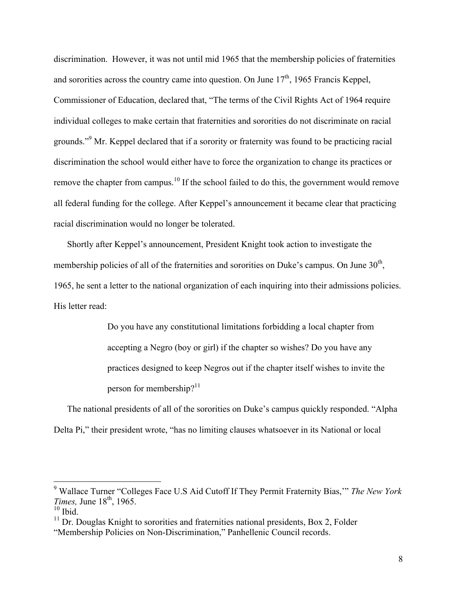discrimination. However, it was not until mid 1965 that the membership policies of fraternities and sororities across the country came into question. On June  $17<sup>th</sup>$ , 1965 Francis Keppel, Commissioner of Education, declared that, "The terms of the Civil Rights Act of 1964 require individual colleges to make certain that fraternities and sororities do not discriminate on racial grounds."<sup>9</sup> Mr. Keppel declared that if a sorority or fraternity was found to be practicing racial discrimination the school would either have to force the organization to change its practices or remove the chapter from campus.<sup>10</sup> If the school failed to do this, the government would remove all federal funding for the college. After Keppel's announcement it became clear that practicing racial discrimination would no longer be tolerated.

Shortly after Keppel's announcement, President Knight took action to investigate the membership policies of all of the fraternities and sororities on Duke's campus. On June 30<sup>th</sup>, 1965, he sent a letter to the national organization of each inquiring into their admissions policies. His letter read:

> Do you have any constitutional limitations forbidding a local chapter from accepting a Negro (boy or girl) if the chapter so wishes? Do you have any practices designed to keep Negros out if the chapter itself wishes to invite the person for membership? $11$

The national presidents of all of the sororities on Duke's campus quickly responded. "Alpha Delta Pi," their president wrote, "has no limiting clauses whatsoever in its National or local

 <sup>9</sup> Wallace Turner "Colleges Face U.S Aid Cutoff If They Permit Fraternity Bias,'" *The New York Times, June 18<sup>th</sup>, 1965.* 

 $^{10}$  Ibid.

 $11$  Dr. Douglas Knight to sororities and fraternities national presidents, Box 2, Folder

<sup>&</sup>quot;Membership Policies on Non-Discrimination," Panhellenic Council records.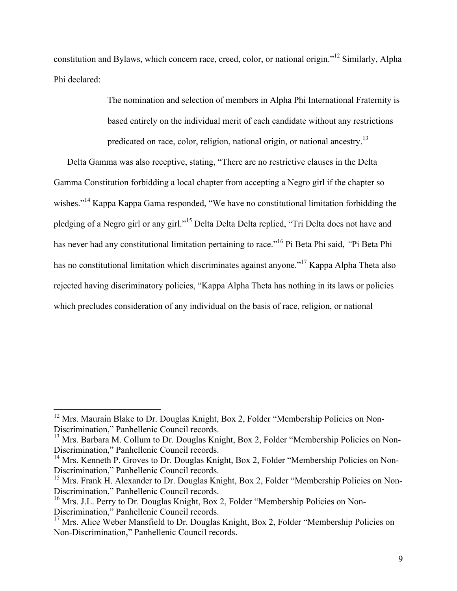constitution and Bylaws, which concern race, creed, color, or national origin."<sup>12</sup> Similarly, Alpha Phi declared:

> The nomination and selection of members in Alpha Phi International Fraternity is based entirely on the individual merit of each candidate without any restrictions predicated on race, color, religion, national origin, or national ancestry.<sup>13</sup>

Delta Gamma was also receptive, stating, "There are no restrictive clauses in the Delta Gamma Constitution forbidding a local chapter from accepting a Negro girl if the chapter so wishes."<sup>14</sup> Kappa Kappa Gama responded, "We have no constitutional limitation forbidding the pledging of a Negro girl or any girl."<sup>15</sup> Delta Delta Delta replied, "Tri Delta does not have and has never had any constitutional limitation pertaining to race."16 Pi Beta Phi said, *"*Pi Beta Phi has no constitutional limitation which discriminates against anyone."<sup>17</sup> Kappa Alpha Theta also rejected having discriminatory policies, "Kappa Alpha Theta has nothing in its laws or policies which precludes consideration of any individual on the basis of race, religion, or national

 $12$  Mrs. Maurain Blake to Dr. Douglas Knight, Box 2, Folder "Membership Policies on Non-Discrimination," Panhellenic Council records.

<sup>&</sup>lt;sup>13</sup> Mrs. Barbara M. Collum to Dr. Douglas Knight, Box 2, Folder "Membership Policies on Non-Discrimination," Panhellenic Council records.

<sup>&</sup>lt;sup>14</sup> Mrs. Kenneth P. Groves to Dr. Douglas Knight, Box 2, Folder "Membership Policies on Non-Discrimination," Panhellenic Council records.<br><sup>15</sup> Mrs. Frank H. Alexander to Dr. Douglas Knight, Box 2, Folder "Membership Policies on Non-

Discrimination," Panhellenic Council records.

<sup>&</sup>lt;sup>16</sup> Mrs. J.L. Perry to Dr. Douglas Knight, Box 2, Folder "Membership Policies on Non-Discrimination," Panhellenic Council records.

 $17$  Mrs. Alice Weber Mansfield to Dr. Douglas Knight, Box 2, Folder "Membership Policies on Non-Discrimination," Panhellenic Council records.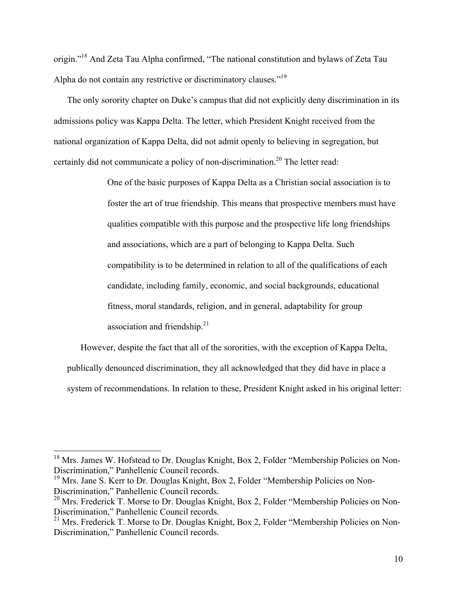origin."18 And Zeta Tau Alpha confirmed, "The national constitution and bylaws of Zeta Tau Alpha do not contain any restrictive or discriminatory clauses."<sup>19</sup>

The only sorority chapter on Duke's campus that did not explicitly deny discrimination in its admissions policy was Kappa Delta. The letter, which President Knight received from the national organization of Kappa Delta, did not admit openly to believing in segregation, but certainly did not communicate a policy of non-discrimination.<sup>20</sup> The letter read:

> One of the basic purposes of Kappa Delta as a Christian social association is to foster the art of true friendship. This means that prospective members must have qualities compatible with this purpose and the prospective life long friendships and associations, which are a part of belonging to Kappa Delta. Such compatibility is to be determined in relation to all of the qualifications of each candidate, including family, economic, and social backgrounds, educational fitness, moral standards, religion, and in general, adaptability for group association and friendship. $21$

However, despite the fact that all of the sororities, with the exception of Kappa Delta, publically denounced discrimination, they all acknowledged that they did have in place a system of recommendations. In relation to these, President Knight asked in his original letter:

<sup>&</sup>lt;sup>18</sup> Mrs. James W. Hofstead to Dr. Douglas Knight, Box 2, Folder "Membership Policies on Non-Discrimination," Panhellenic Council records.<br><sup>19</sup> Mrs. Jane S. Kerr to Dr. Douglas Knight, Box 2, Folder "Membership Policies on Non-

Discrimination," Panhellenic Council records.<br><sup>20</sup> Mrs. Frederick T. Morse to Dr. Douglas Knight, Box 2, Folder "Membership Policies on Non-

Discrimination," Panhellenic Council records.<br><sup>21</sup> Mrs. Frederick T. Morse to Dr. Douglas Knight, Box 2, Folder "Membership Policies on Non-

Discrimination," Panhellenic Council records.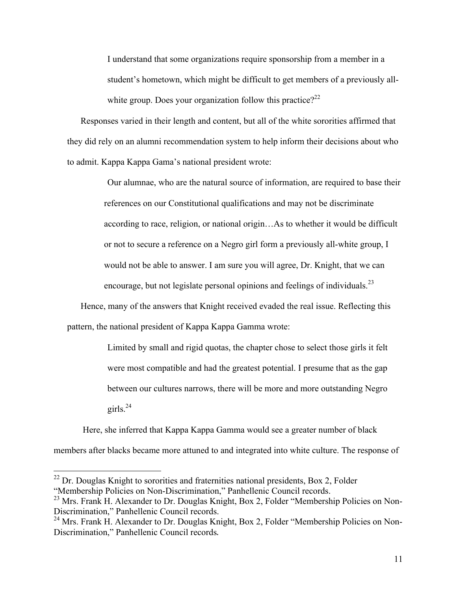I understand that some organizations require sponsorship from a member in a student's hometown, which might be difficult to get members of a previously allwhite group. Does your organization follow this practice?<sup>22</sup>

Responses varied in their length and content, but all of the white sororities affirmed that they did rely on an alumni recommendation system to help inform their decisions about who to admit. Kappa Kappa Gama's national president wrote:

> Our alumnae, who are the natural source of information, are required to base their references on our Constitutional qualifications and may not be discriminate according to race, religion, or national origin…As to whether it would be difficult or not to secure a reference on a Negro girl form a previously all-white group, I would not be able to answer. I am sure you will agree, Dr. Knight, that we can encourage, but not legislate personal opinions and feelings of individuals.<sup>23</sup>

Hence, many of the answers that Knight received evaded the real issue. Reflecting this pattern, the national president of Kappa Kappa Gamma wrote:

> Limited by small and rigid quotas, the chapter chose to select those girls it felt were most compatible and had the greatest potential. I presume that as the gap between our cultures narrows, there will be more and more outstanding Negro girls. 24

Here, she inferred that Kappa Kappa Gamma would see a greater number of black members after blacks became more attuned to and integrated into white culture. The response of

 $^{22}$  Dr. Douglas Knight to sororities and fraternities national presidents, Box 2, Folder "Membership Policies on Non-Discrimination," Panhellenic Council records.

<sup>&</sup>lt;sup>23</sup> Mrs. Frank H. Alexander to Dr. Douglas Knight, Box 2, Folder "Membership Policies on Non-Discrimination," Panhellenic Council records.<br><sup>24</sup> Mrs. Frank H. Alexander to Dr. Douglas Knight, Box 2, Folder "Membership Policies on Non-

Discrimination," Panhellenic Council records.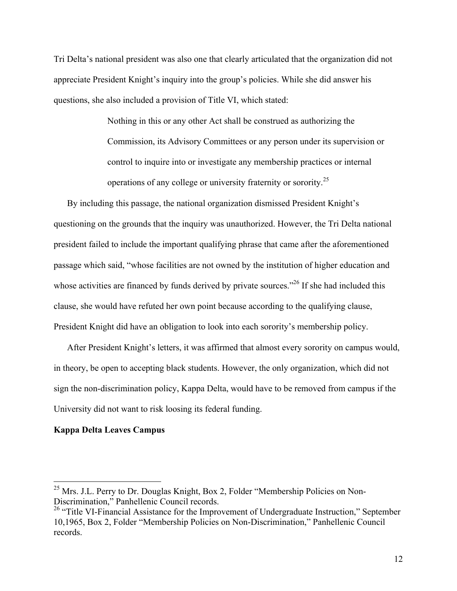Tri Delta's national president was also one that clearly articulated that the organization did not appreciate President Knight's inquiry into the group's policies. While she did answer his questions, she also included a provision of Title VI, which stated:

> Nothing in this or any other Act shall be construed as authorizing the Commission, its Advisory Committees or any person under its supervision or control to inquire into or investigate any membership practices or internal operations of any college or university fraternity or sorority.<sup>25</sup>

By including this passage, the national organization dismissed President Knight's questioning on the grounds that the inquiry was unauthorized. However, the Tri Delta national president failed to include the important qualifying phrase that came after the aforementioned passage which said, "whose facilities are not owned by the institution of higher education and whose activities are financed by funds derived by private sources.<sup>226</sup> If she had included this clause, she would have refuted her own point because according to the qualifying clause, President Knight did have an obligation to look into each sorority's membership policy.

After President Knight's letters, it was affirmed that almost every sorority on campus would, in theory, be open to accepting black students. However, the only organization, which did not sign the non-discrimination policy, Kappa Delta, would have to be removed from campus if the University did not want to risk loosing its federal funding.

# **Kappa Delta Leaves Campus**

 $^{25}$  Mrs. J.L. Perry to Dr. Douglas Knight, Box 2, Folder "Membership Policies on Non-Discrimination," Panhellenic Council records.

<sup>&</sup>lt;sup>26</sup> "Title VI-Financial Assistance for the Improvement of Undergraduate Instruction," September 10,1965, Box 2, Folder "Membership Policies on Non-Discrimination," Panhellenic Council records.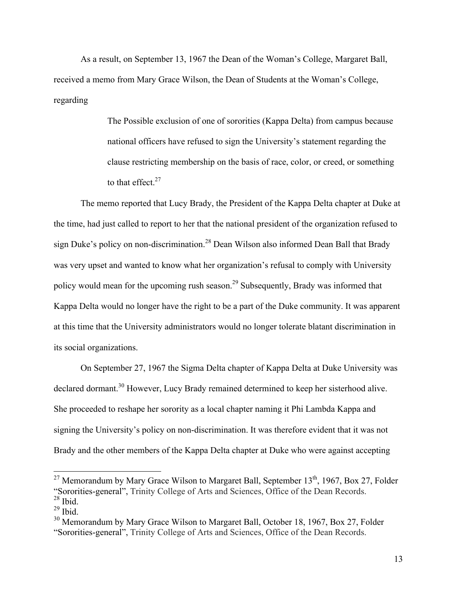As a result, on September 13, 1967 the Dean of the Woman's College, Margaret Ball, received a memo from Mary Grace Wilson, the Dean of Students at the Woman's College, regarding

> The Possible exclusion of one of sororities (Kappa Delta) from campus because national officers have refused to sign the University's statement regarding the clause restricting membership on the basis of race, color, or creed, or something to that effect. $27$

The memo reported that Lucy Brady, the President of the Kappa Delta chapter at Duke at the time, had just called to report to her that the national president of the organization refused to sign Duke's policy on non-discrimination.<sup>28</sup> Dean Wilson also informed Dean Ball that Brady was very upset and wanted to know what her organization's refusal to comply with University policy would mean for the upcoming rush season.<sup>29</sup> Subsequently, Brady was informed that Kappa Delta would no longer have the right to be a part of the Duke community. It was apparent at this time that the University administrators would no longer tolerate blatant discrimination in its social organizations.

On September 27, 1967 the Sigma Delta chapter of Kappa Delta at Duke University was declared dormant.<sup>30</sup> However, Lucy Brady remained determined to keep her sisterhood alive. She proceeded to reshape her sorority as a local chapter naming it Phi Lambda Kappa and signing the University's policy on non-discrimination. It was therefore evident that it was not Brady and the other members of the Kappa Delta chapter at Duke who were against accepting

<sup>&</sup>lt;sup>27</sup> Memorandum by Mary Grace Wilson to Margaret Ball, September  $13<sup>th</sup>$ , 1967, Box 27, Folder "Sororities-general", Trinity College of Arts and Sciences, Office of the Dean Records. <sup>28</sup> Ibid.

 $^{29}$  Ibid.

 $30$  Memorandum by Mary Grace Wilson to Margaret Ball, October 18, 1967, Box 27, Folder "Sororities-general", Trinity College of Arts and Sciences, Office of the Dean Records.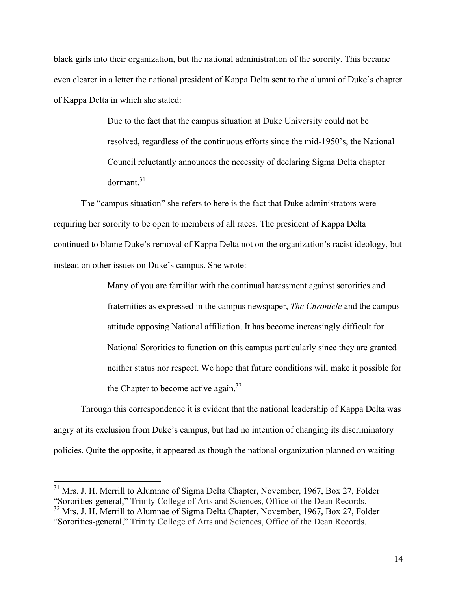black girls into their organization, but the national administration of the sorority. This became even clearer in a letter the national president of Kappa Delta sent to the alumni of Duke's chapter of Kappa Delta in which she stated:

> Due to the fact that the campus situation at Duke University could not be resolved, regardless of the continuous efforts since the mid-1950's, the National Council reluctantly announces the necessity of declaring Sigma Delta chapter dormant.31

The "campus situation" she refers to here is the fact that Duke administrators were requiring her sorority to be open to members of all races. The president of Kappa Delta continued to blame Duke's removal of Kappa Delta not on the organization's racist ideology, but instead on other issues on Duke's campus. She wrote:

> Many of you are familiar with the continual harassment against sororities and fraternities as expressed in the campus newspaper, *The Chronicle* and the campus attitude opposing National affiliation. It has become increasingly difficult for National Sororities to function on this campus particularly since they are granted neither status nor respect. We hope that future conditions will make it possible for the Chapter to become active again.<sup>32</sup>

Through this correspondence it is evident that the national leadership of Kappa Delta was angry at its exclusion from Duke's campus, but had no intention of changing its discriminatory policies. Quite the opposite, it appeared as though the national organization planned on waiting

 $31$  Mrs. J. H. Merrill to Alumnae of Sigma Delta Chapter, November, 1967, Box 27, Folder "Sororities-general," Trinity College of Arts and Sciences, Office of the Dean Records.  $32$  Mrs. J. H. Merrill to Alumnae of Sigma Delta Chapter, November, 1967, Box 27, Folder

<sup>&</sup>quot;Sororities-general," Trinity College of Arts and Sciences, Office of the Dean Records.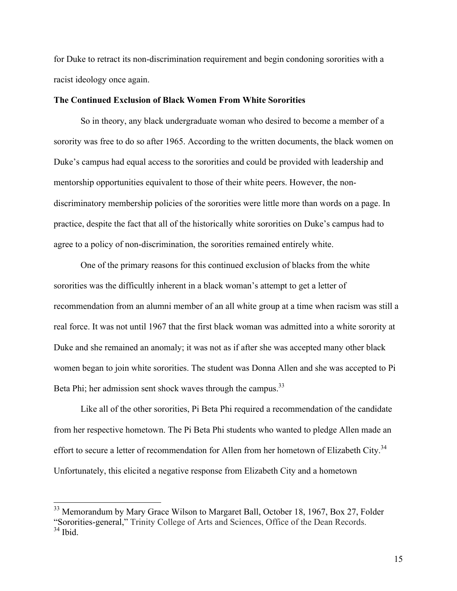for Duke to retract its non-discrimination requirement and begin condoning sororities with a racist ideology once again.

# **The Continued Exclusion of Black Women From White Sororities**

So in theory, any black undergraduate woman who desired to become a member of a sorority was free to do so after 1965. According to the written documents, the black women on Duke's campus had equal access to the sororities and could be provided with leadership and mentorship opportunities equivalent to those of their white peers. However, the nondiscriminatory membership policies of the sororities were little more than words on a page. In practice, despite the fact that all of the historically white sororities on Duke's campus had to agree to a policy of non-discrimination, the sororities remained entirely white.

One of the primary reasons for this continued exclusion of blacks from the white sororities was the difficultly inherent in a black woman's attempt to get a letter of recommendation from an alumni member of an all white group at a time when racism was still a real force. It was not until 1967 that the first black woman was admitted into a white sorority at Duke and she remained an anomaly; it was not as if after she was accepted many other black women began to join white sororities. The student was Donna Allen and she was accepted to Pi Beta Phi; her admission sent shock waves through the campus.<sup>33</sup>

Like all of the other sororities, Pi Beta Phi required a recommendation of the candidate from her respective hometown. The Pi Beta Phi students who wanted to pledge Allen made an effort to secure a letter of recommendation for Allen from her hometown of Elizabeth City.<sup>34</sup> Unfortunately, this elicited a negative response from Elizabeth City and a hometown

<sup>&</sup>lt;sup>33</sup> Memorandum by Mary Grace Wilson to Margaret Ball, October 18, 1967, Box 27, Folder "Sororities-general," Trinity College of Arts and Sciences, Office of the Dean Records. <sup>34</sup> Ibid.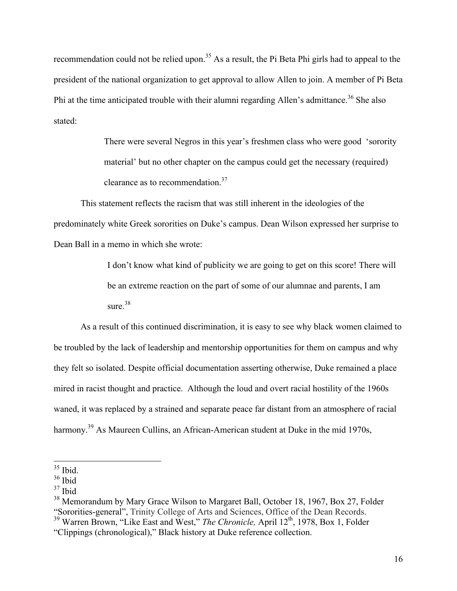recommendation could not be relied upon.<sup>35</sup> As a result, the Pi Beta Phi girls had to appeal to the president of the national organization to get approval to allow Allen to join. A member of Pi Beta Phi at the time anticipated trouble with their alumni regarding Allen's admittance.<sup>36</sup> She also stated:

> There were several Negros in this year's freshmen class who were good 'sorority material' but no other chapter on the campus could get the necessary (required) clearance as to recommendation.37

This statement reflects the racism that was still inherent in the ideologies of the predominately white Greek sororities on Duke's campus. Dean Wilson expressed her surprise to Dean Ball in a memo in which she wrote:

> I don't know what kind of publicity we are going to get on this score! There will be an extreme reaction on the part of some of our alumnae and parents, I am sure  $38$

As a result of this continued discrimination, it is easy to see why black women claimed to be troubled by the lack of leadership and mentorship opportunities for them on campus and why they felt so isolated. Despite official documentation asserting otherwise, Duke remained a place mired in racist thought and practice. Although the loud and overt racial hostility of the 1960s waned, it was replaced by a strained and separate peace far distant from an atmosphere of racial harmony.<sup>39</sup> As Maureen Cullins, an African-American student at Duke in the mid 1970s,

 $35$  Ibid.

 $36$  Ibid

 $37$  Ibid

<sup>&</sup>lt;sup>38</sup> Memorandum by Mary Grace Wilson to Margaret Ball, October 18, 1967, Box 27, Folder "Sororities-general", Trinity College of Arts and Sciences, Office of the Dean Records. <sup>39</sup> Warren Brown, "Like East and West," *The Chronicle,* April 12th, 1978, Box 1, Folder

<sup>&</sup>quot;Clippings (chronological)," Black history at Duke reference collection.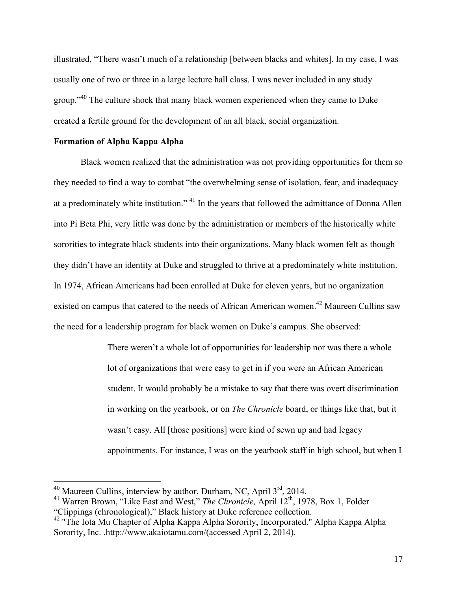illustrated, "There wasn't much of a relationship [between blacks and whites]. In my case, I was usually one of two or three in a large lecture hall class. I was never included in any study group."<sup>40</sup> The culture shock that many black women experienced when they came to Duke created a fertile ground for the development of an all black, social organization.

# **Formation of Alpha Kappa Alpha**

Black women realized that the administration was not providing opportunities for them so they needed to find a way to combat "the overwhelming sense of isolation, fear, and inadequacy at a predominately white institution." 41 In the years that followed the admittance of Donna Allen into Pi Beta Phi, very little was done by the administration or members of the historically white sororities to integrate black students into their organizations. Many black women felt as though they didn't have an identity at Duke and struggled to thrive at a predominately white institution. In 1974, African Americans had been enrolled at Duke for eleven years, but no organization existed on campus that catered to the needs of African American women.<sup>42</sup> Maureen Cullins saw the need for a leadership program for black women on Duke's campus. She observed:

> There weren't a whole lot of opportunities for leadership nor was there a whole lot of organizations that were easy to get in if you were an African American student. It would probably be a mistake to say that there was overt discrimination in working on the yearbook, or on *The Chronicle* board, or things like that, but it wasn't easy. All [those positions] were kind of sewn up and had legacy appointments. For instance, I was on the yearbook staff in high school, but when I

<sup>&</sup>lt;sup>40</sup> Maureen Cullins, interview by author, Durham, NC, April 3<sup>rd</sup>, 2014.<br><sup>41</sup> Warren Brown, "Like East and West," *The Chronicle*, April 12<sup>th</sup>, 1978, Box 1, Folder "Clippings (chronological)," Black history at Duke refer

<sup>&</sup>lt;sup>42</sup> "The Iota Mu Chapter of Alpha Kappa Alpha Sorority, Incorporated." Alpha Kappa Alpha Sorority, Inc. .http://www.akaiotamu.com/(accessed April 2, 2014).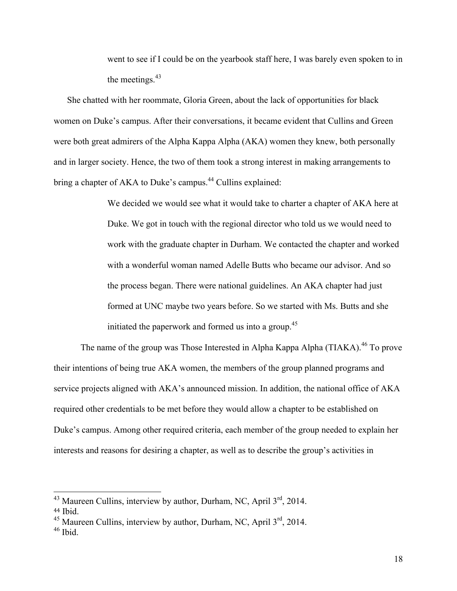went to see if I could be on the yearbook staff here, I was barely even spoken to in the meetings. $43$ 

She chatted with her roommate, Gloria Green, about the lack of opportunities for black women on Duke's campus. After their conversations, it became evident that Cullins and Green were both great admirers of the Alpha Kappa Alpha (AKA) women they knew, both personally and in larger society. Hence, the two of them took a strong interest in making arrangements to bring a chapter of AKA to Duke's campus.<sup>44</sup> Cullins explained:

> We decided we would see what it would take to charter a chapter of AKA here at Duke. We got in touch with the regional director who told us we would need to work with the graduate chapter in Durham. We contacted the chapter and worked with a wonderful woman named Adelle Butts who became our advisor. And so the process began. There were national guidelines. An AKA chapter had just formed at UNC maybe two years before. So we started with Ms. Butts and she initiated the paperwork and formed us into a group.<sup>45</sup>

The name of the group was Those Interested in Alpha Kappa Alpha (TIAKA).<sup>46</sup> To prove their intentions of being true AKA women, the members of the group planned programs and service projects aligned with AKA's announced mission. In addition, the national office of AKA required other credentials to be met before they would allow a chapter to be established on Duke's campus. Among other required criteria, each member of the group needed to explain her interests and reasons for desiring a chapter, as well as to describe the group's activities in

 $43$  Maureen Cullins, interview by author, Durham, NC, April  $3<sup>rd</sup>$ , 2014.

<sup>44</sup> Ibid.

 $45$  Maureen Cullins, interview by author, Durham, NC, April  $3<sup>rd</sup>$ , 2014.

 $46$  Ibid.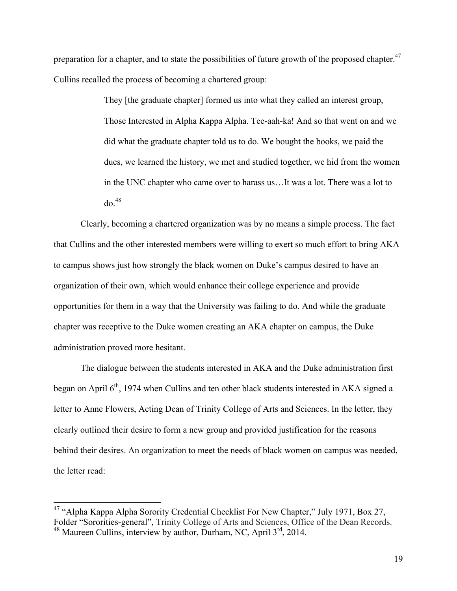preparation for a chapter, and to state the possibilities of future growth of the proposed chapter.<sup>47</sup> Cullins recalled the process of becoming a chartered group:

> They [the graduate chapter] formed us into what they called an interest group, Those Interested in Alpha Kappa Alpha. Tee-aah-ka! And so that went on and we did what the graduate chapter told us to do. We bought the books, we paid the dues, we learned the history, we met and studied together, we hid from the women in the UNC chapter who came over to harass us…It was a lot. There was a lot to  $d\Omega$ <sup>48</sup>

Clearly, becoming a chartered organization was by no means a simple process. The fact that Cullins and the other interested members were willing to exert so much effort to bring AKA to campus shows just how strongly the black women on Duke's campus desired to have an organization of their own, which would enhance their college experience and provide opportunities for them in a way that the University was failing to do. And while the graduate chapter was receptive to the Duke women creating an AKA chapter on campus, the Duke administration proved more hesitant.

The dialogue between the students interested in AKA and the Duke administration first began on April  $6<sup>th</sup>$ , 1974 when Cullins and ten other black students interested in AKA signed a letter to Anne Flowers, Acting Dean of Trinity College of Arts and Sciences. In the letter, they clearly outlined their desire to form a new group and provided justification for the reasons behind their desires. An organization to meet the needs of black women on campus was needed, the letter read:

<sup>&</sup>lt;sup>47</sup> "Alpha Kappa Alpha Sorority Credential Checklist For New Chapter," July 1971, Box 27, Folder "Sororities-general", Trinity College of Arts and Sciences, Office of the Dean Records.  $48$  Maureen Cullins, interview by author, Durham, NC, April  $3<sup>rd</sup>$ , 2014.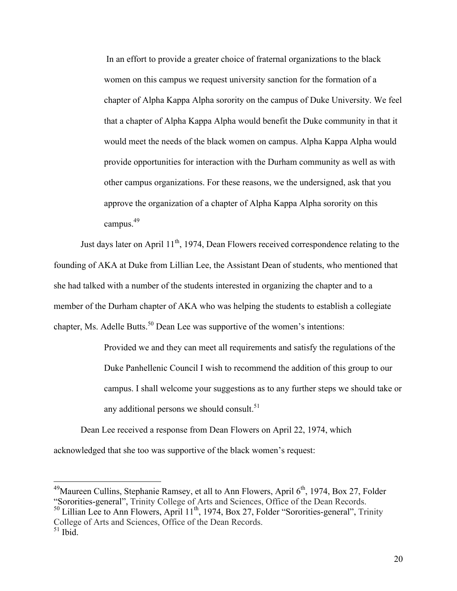In an effort to provide a greater choice of fraternal organizations to the black women on this campus we request university sanction for the formation of a chapter of Alpha Kappa Alpha sorority on the campus of Duke University. We feel that a chapter of Alpha Kappa Alpha would benefit the Duke community in that it would meet the needs of the black women on campus. Alpha Kappa Alpha would provide opportunities for interaction with the Durham community as well as with other campus organizations. For these reasons, we the undersigned, ask that you approve the organization of a chapter of Alpha Kappa Alpha sorority on this campus.49

Just days later on April  $11<sup>th</sup>$ , 1974, Dean Flowers received correspondence relating to the founding of AKA at Duke from Lillian Lee, the Assistant Dean of students, who mentioned that she had talked with a number of the students interested in organizing the chapter and to a member of the Durham chapter of AKA who was helping the students to establish a collegiate chapter, Ms. Adelle Butts.<sup>50</sup> Dean Lee was supportive of the women's intentions:

> Provided we and they can meet all requirements and satisfy the regulations of the Duke Panhellenic Council I wish to recommend the addition of this group to our campus. I shall welcome your suggestions as to any further steps we should take or any additional persons we should consult. $51$

Dean Lee received a response from Dean Flowers on April 22, 1974, which acknowledged that she too was supportive of the black women's request:

<sup>50</sup> Lillian Lee to Ann Flowers, April 11<sup>th</sup>, 1974, Box 27, Folder "Sororities-general", Trinity College of Arts and Sciences, Office of the Dean Records.  $51$  Ibid.

<sup>&</sup>lt;sup>49</sup>Maureen Cullins, Stephanie Ramsey, et all to Ann Flowers, April  $6<sup>th</sup>$ , 1974, Box 27, Folder "Sororities-general", Trinity College of Arts and Sciences, Office of the Dean Records.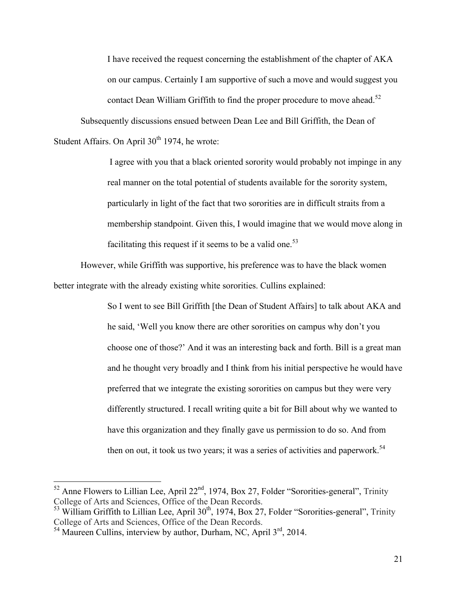I have received the request concerning the establishment of the chapter of AKA on our campus. Certainly I am supportive of such a move and would suggest you contact Dean William Griffith to find the proper procedure to move ahead.<sup>52</sup> Subsequently discussions ensued between Dean Lee and Bill Griffith, the Dean of

Student Affairs. On April  $30<sup>th</sup> 1974$ , he wrote:

I agree with you that a black oriented sorority would probably not impinge in any real manner on the total potential of students available for the sorority system, particularly in light of the fact that two sororities are in difficult straits from a membership standpoint. Given this, I would imagine that we would move along in facilitating this request if it seems to be a valid one.<sup>53</sup>

However, while Griffith was supportive, his preference was to have the black women better integrate with the already existing white sororities. Cullins explained:

> So I went to see Bill Griffith [the Dean of Student Affairs] to talk about AKA and he said, 'Well you know there are other sororities on campus why don't you choose one of those?' And it was an interesting back and forth. Bill is a great man and he thought very broadly and I think from his initial perspective he would have preferred that we integrate the existing sororities on campus but they were very differently structured. I recall writing quite a bit for Bill about why we wanted to have this organization and they finally gave us permission to do so. And from then on out, it took us two years; it was a series of activities and paperwork.<sup>54</sup>

 $52$  Anne Flowers to Lillian Lee, April 22<sup>nd</sup>, 1974, Box 27, Folder "Sororities-general", Trinity College of Arts and Sciences, Office of the Dean Records.

 $53$  William Griffith to Lillian Lee, April  $30<sup>th</sup>$ , 1974, Box 27, Folder "Sororities-general", Trinity College of Arts and Sciences. Office of the Dean Records.

 $<sup>54</sup>$  Maureen Cullins, interview by author, Durham, NC, April  $3<sup>rd</sup>$ , 2014.</sup>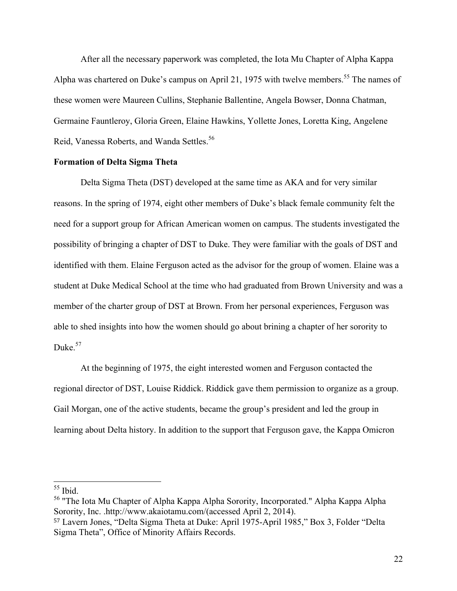After all the necessary paperwork was completed, the Iota Mu Chapter of Alpha Kappa Alpha was chartered on Duke's campus on April 21, 1975 with twelve members.<sup>55</sup> The names of these women were Maureen Cullins, Stephanie Ballentine, Angela Bowser, Donna Chatman, Germaine Fauntleroy, Gloria Green, Elaine Hawkins, Yollette Jones, Loretta King, Angelene Reid, Vanessa Roberts, and Wanda Settles.<sup>56</sup>

#### **Formation of Delta Sigma Theta**

Delta Sigma Theta (DST) developed at the same time as AKA and for very similar reasons. In the spring of 1974, eight other members of Duke's black female community felt the need for a support group for African American women on campus. The students investigated the possibility of bringing a chapter of DST to Duke. They were familiar with the goals of DST and identified with them. Elaine Ferguson acted as the advisor for the group of women. Elaine was a student at Duke Medical School at the time who had graduated from Brown University and was a member of the charter group of DST at Brown. From her personal experiences, Ferguson was able to shed insights into how the women should go about brining a chapter of her sorority to Duke. $57$ 

At the beginning of 1975, the eight interested women and Ferguson contacted the regional director of DST, Louise Riddick. Riddick gave them permission to organize as a group. Gail Morgan, one of the active students, became the group's president and led the group in learning about Delta history. In addition to the support that Ferguson gave, the Kappa Omicron

 $55$  Ibid.

<sup>56</sup> "The Iota Mu Chapter of Alpha Kappa Alpha Sorority, Incorporated." Alpha Kappa Alpha Sorority, Inc. .http://www.akaiotamu.com/(accessed April 2, 2014).

<sup>57</sup> Lavern Jones, "Delta Sigma Theta at Duke: April 1975-April 1985," Box 3, Folder "Delta Sigma Theta", Office of Minority Affairs Records.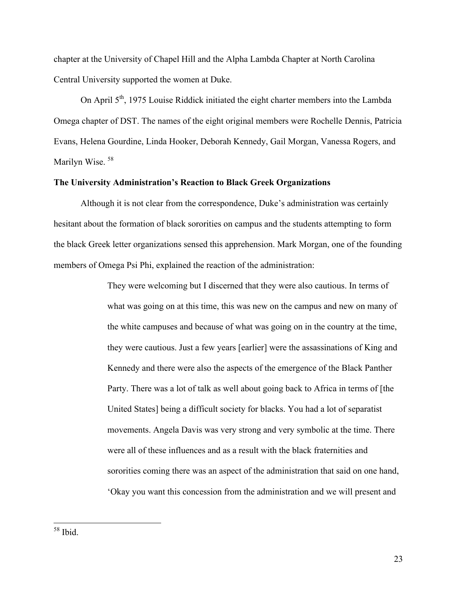chapter at the University of Chapel Hill and the Alpha Lambda Chapter at North Carolina Central University supported the women at Duke.

On April  $5<sup>th</sup>$ , 1975 Louise Riddick initiated the eight charter members into the Lambda Omega chapter of DST. The names of the eight original members were Rochelle Dennis, Patricia Evans, Helena Gourdine, Linda Hooker, Deborah Kennedy, Gail Morgan, Vanessa Rogers, and Marilyn Wise. 58

# **The University Administration's Reaction to Black Greek Organizations**

Although it is not clear from the correspondence, Duke's administration was certainly hesitant about the formation of black sororities on campus and the students attempting to form the black Greek letter organizations sensed this apprehension. Mark Morgan, one of the founding members of Omega Psi Phi, explained the reaction of the administration:

> They were welcoming but I discerned that they were also cautious. In terms of what was going on at this time, this was new on the campus and new on many of the white campuses and because of what was going on in the country at the time, they were cautious. Just a few years [earlier] were the assassinations of King and Kennedy and there were also the aspects of the emergence of the Black Panther Party. There was a lot of talk as well about going back to Africa in terms of [the United States] being a difficult society for blacks. You had a lot of separatist movements. Angela Davis was very strong and very symbolic at the time. There were all of these influences and as a result with the black fraternities and sororities coming there was an aspect of the administration that said on one hand, 'Okay you want this concession from the administration and we will present and

 <sup>58</sup> Ibid.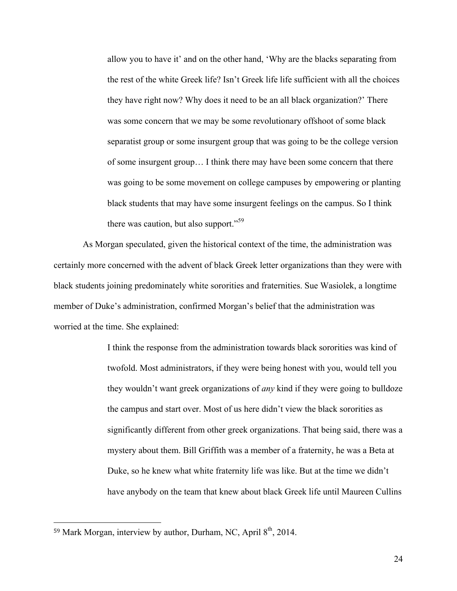allow you to have it' and on the other hand, 'Why are the blacks separating from the rest of the white Greek life? Isn't Greek life life sufficient with all the choices they have right now? Why does it need to be an all black organization?' There was some concern that we may be some revolutionary offshoot of some black separatist group or some insurgent group that was going to be the college version of some insurgent group… I think there may have been some concern that there was going to be some movement on college campuses by empowering or planting black students that may have some insurgent feelings on the campus. So I think there was caution, but also support."<sup>59</sup>

As Morgan speculated, given the historical context of the time, the administration was certainly more concerned with the advent of black Greek letter organizations than they were with black students joining predominately white sororities and fraternities. Sue Wasiolek, a longtime member of Duke's administration, confirmed Morgan's belief that the administration was worried at the time. She explained:

> I think the response from the administration towards black sororities was kind of twofold. Most administrators, if they were being honest with you, would tell you they wouldn't want greek organizations of *any* kind if they were going to bulldoze the campus and start over. Most of us here didn't view the black sororities as significantly different from other greek organizations. That being said, there was a mystery about them. Bill Griffith was a member of a fraternity, he was a Beta at Duke, so he knew what white fraternity life was like. But at the time we didn't have anybody on the team that knew about black Greek life until Maureen Cullins

 

<sup>59</sup> Mark Morgan, interview by author, Durham, NC, April 8<sup>th</sup>, 2014.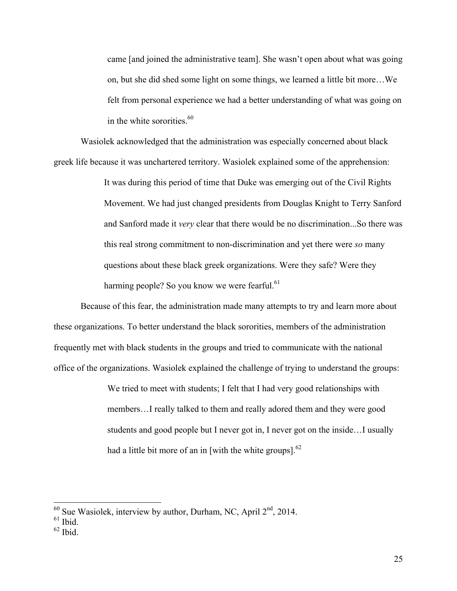came [and joined the administrative team]. She wasn't open about what was going on, but she did shed some light on some things, we learned a little bit more…We felt from personal experience we had a better understanding of what was going on in the white sororities. $60$ 

Wasiolek acknowledged that the administration was especially concerned about black greek life because it was unchartered territory. Wasiolek explained some of the apprehension:

> It was during this period of time that Duke was emerging out of the Civil Rights Movement. We had just changed presidents from Douglas Knight to Terry Sanford and Sanford made it *very* clear that there would be no discrimination...So there was this real strong commitment to non-discrimination and yet there were *so* many questions about these black greek organizations. Were they safe? Were they harming people? So you know we were fearful. $61$

Because of this fear, the administration made many attempts to try and learn more about these organizations. To better understand the black sororities, members of the administration frequently met with black students in the groups and tried to communicate with the national office of the organizations. Wasiolek explained the challenge of trying to understand the groups:

> We tried to meet with students; I felt that I had very good relationships with members…I really talked to them and really adored them and they were good students and good people but I never got in, I never got on the inside…I usually had a little bit more of an in [with the white groups]. $^{62}$

 $62$  Ibid.

 $^{60}$  Sue Wasiolek, interview by author, Durham, NC, April  $2<sup>nd</sup>$ , 2014. <sup>61</sup> Ibid.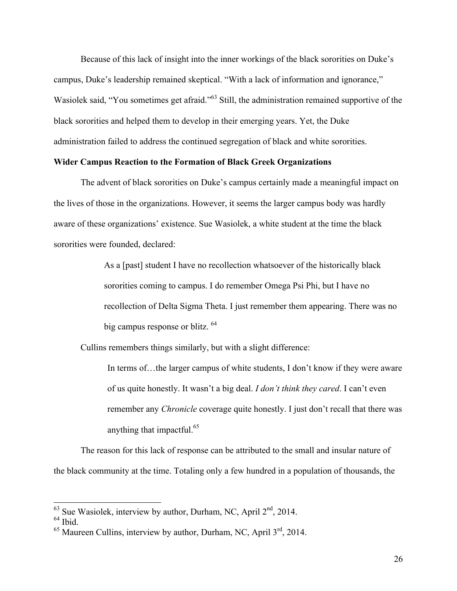Because of this lack of insight into the inner workings of the black sororities on Duke's campus, Duke's leadership remained skeptical. "With a lack of information and ignorance," Wasiolek said, "You sometimes get afraid."<sup>63</sup> Still, the administration remained supportive of the black sororities and helped them to develop in their emerging years. Yet, the Duke administration failed to address the continued segregation of black and white sororities.

#### **Wider Campus Reaction to the Formation of Black Greek Organizations**

The advent of black sororities on Duke's campus certainly made a meaningful impact on the lives of those in the organizations. However, it seems the larger campus body was hardly aware of these organizations' existence. Sue Wasiolek, a white student at the time the black sororities were founded, declared:

> As a [past] student I have no recollection whatsoever of the historically black sororities coming to campus. I do remember Omega Psi Phi, but I have no recollection of Delta Sigma Theta. I just remember them appearing. There was no big campus response or blitz. 64

Cullins remembers things similarly, but with a slight difference:

In terms of…the larger campus of white students, I don't know if they were aware of us quite honestly. It wasn't a big deal. *I don't think they cared*. I can't even remember any *Chronicle* coverage quite honestly. I just don't recall that there was anything that impactful.65

The reason for this lack of response can be attributed to the small and insular nature of the black community at the time. Totaling only a few hundred in a population of thousands, the

 $63$  Sue Wasiolek, interview by author, Durham, NC, April  $2<sup>nd</sup>$ , 2014.

 $65$  Maureen Cullins, interview by author, Durham, NC, April  $3<sup>rd</sup>$ , 2014.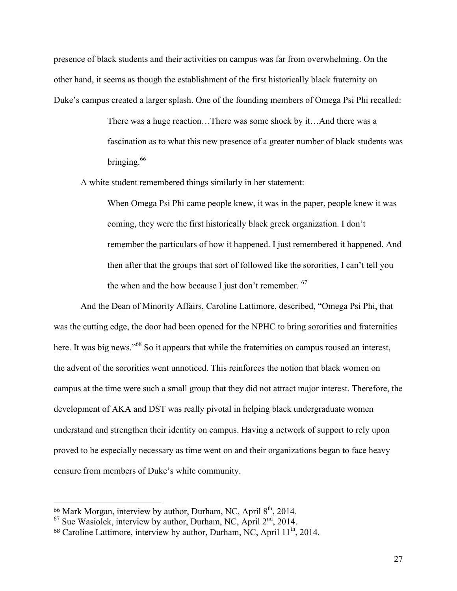presence of black students and their activities on campus was far from overwhelming. On the other hand, it seems as though the establishment of the first historically black fraternity on Duke's campus created a larger splash. One of the founding members of Omega Psi Phi recalled:

> There was a huge reaction…There was some shock by it…And there was a fascination as to what this new presence of a greater number of black students was bringing.<sup>66</sup>

A white student remembered things similarly in her statement:

When Omega Psi Phi came people knew, it was in the paper, people knew it was coming, they were the first historically black greek organization. I don't remember the particulars of how it happened. I just remembered it happened. And then after that the groups that sort of followed like the sororities, I can't tell you the when and the how because I just don't remember.  $67$ 

And the Dean of Minority Affairs, Caroline Lattimore, described, "Omega Psi Phi, that was the cutting edge, the door had been opened for the NPHC to bring sororities and fraternities here. It was big news."<sup>68</sup> So it appears that while the fraternities on campus roused an interest, the advent of the sororities went unnoticed. This reinforces the notion that black women on campus at the time were such a small group that they did not attract major interest. Therefore, the development of AKA and DST was really pivotal in helping black undergraduate women understand and strengthen their identity on campus. Having a network of support to rely upon proved to be especially necessary as time went on and their organizations began to face heavy censure from members of Duke's white community.

 

 $66$  Mark Morgan, interview by author, Durham, NC, April  $8<sup>th</sup>$ , 2014.

 $67$  Sue Wasiolek, interview by author, Durham, NC, April  $2<sup>nd</sup>$ , 2014.

<sup>&</sup>lt;sup>68</sup> Caroline Lattimore, interview by author, Durham, NC, April 11<sup>th</sup>, 2014.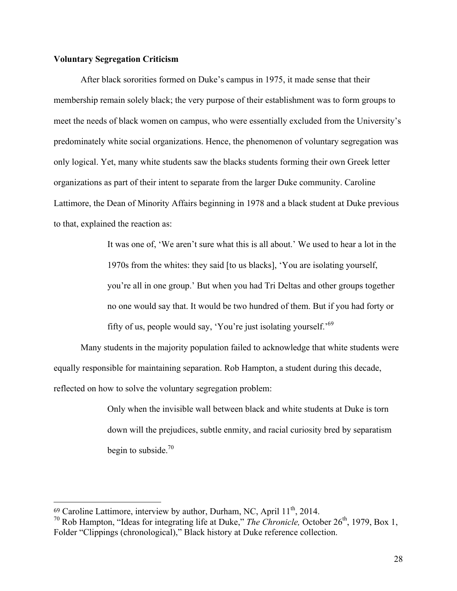# **Voluntary Segregation Criticism**

After black sororities formed on Duke's campus in 1975, it made sense that their membership remain solely black; the very purpose of their establishment was to form groups to meet the needs of black women on campus, who were essentially excluded from the University's predominately white social organizations. Hence, the phenomenon of voluntary segregation was only logical. Yet, many white students saw the blacks students forming their own Greek letter organizations as part of their intent to separate from the larger Duke community. Caroline Lattimore, the Dean of Minority Affairs beginning in 1978 and a black student at Duke previous to that, explained the reaction as:

> It was one of, 'We aren't sure what this is all about.' We used to hear a lot in the 1970s from the whites: they said [to us blacks], 'You are isolating yourself, you're all in one group.' But when you had Tri Deltas and other groups together no one would say that. It would be two hundred of them. But if you had forty or fifty of us, people would say, 'You're just isolating yourself.' 69

Many students in the majority population failed to acknowledge that white students were equally responsible for maintaining separation. Rob Hampton, a student during this decade, reflected on how to solve the voluntary segregation problem:

> Only when the invisible wall between black and white students at Duke is torn down will the prejudices, subtle enmity, and racial curiosity bred by separatism begin to subside. $70$

 

 $69$  Caroline Lattimore, interview by author, Durham, NC, April  $11<sup>th</sup>$ , 2014.

<sup>&</sup>lt;sup>70</sup> Rob Hampton, "Ideas for integrating life at Duke," *The Chronicle*, October  $26<sup>th</sup>$ , 1979, Box 1, Folder "Clippings (chronological)," Black history at Duke reference collection.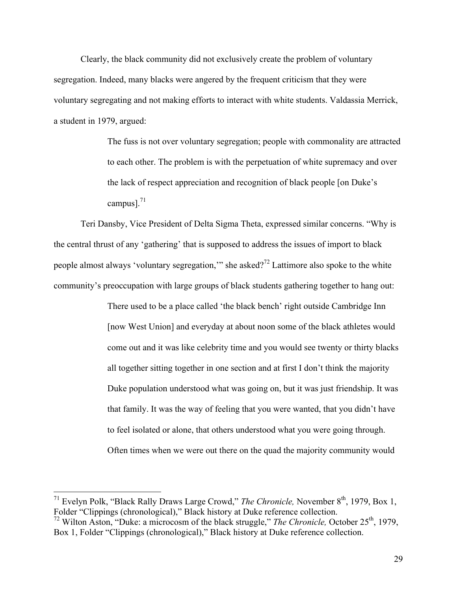Clearly, the black community did not exclusively create the problem of voluntary segregation. Indeed, many blacks were angered by the frequent criticism that they were voluntary segregating and not making efforts to interact with white students. Valdassia Merrick, a student in 1979, argued:

> The fuss is not over voluntary segregation; people with commonality are attracted to each other. The problem is with the perpetuation of white supremacy and over the lack of respect appreciation and recognition of black people [on Duke's campus]. $^{71}$

Teri Dansby, Vice President of Delta Sigma Theta, expressed similar concerns. "Why is the central thrust of any 'gathering' that is supposed to address the issues of import to black people almost always 'voluntary segregation,'" she asked?<sup>72</sup> Lattimore also spoke to the white community's preoccupation with large groups of black students gathering together to hang out:

> There used to be a place called 'the black bench' right outside Cambridge Inn [now West Union] and everyday at about noon some of the black athletes would come out and it was like celebrity time and you would see twenty or thirty blacks all together sitting together in one section and at first I don't think the majority Duke population understood what was going on, but it was just friendship. It was that family. It was the way of feeling that you were wanted, that you didn't have to feel isolated or alone, that others understood what you were going through. Often times when we were out there on the quad the majority community would

<sup>&</sup>lt;sup>71</sup> Evelyn Polk, "Black Rally Draws Large Crowd," *The Chronicle*, November 8<sup>th</sup>, 1979, Box 1, Folder "Clippings (chronological)," Black history at Duke reference collection.

<sup>&</sup>lt;sup>72</sup> Wilton Aston, "Duke: a microcosm of the black struggle," *The Chronicle*, October 25<sup>th</sup>, 1979, Box 1, Folder "Clippings (chronological)," Black history at Duke reference collection.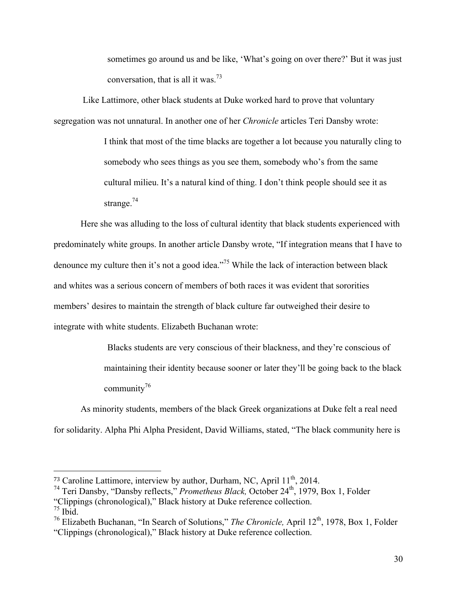sometimes go around us and be like, 'What's going on over there?' But it was just conversation, that is all it was.<sup>73</sup>

Like Lattimore, other black students at Duke worked hard to prove that voluntary segregation was not unnatural. In another one of her *Chronicle* articles Teri Dansby wrote:

> I think that most of the time blacks are together a lot because you naturally cling to somebody who sees things as you see them, somebody who's from the same cultural milieu. It's a natural kind of thing. I don't think people should see it as strange. $74$

Here she was alluding to the loss of cultural identity that black students experienced with predominately white groups. In another article Dansby wrote, "If integration means that I have to denounce my culture then it's not a good idea."<sup>75</sup> While the lack of interaction between black and whites was a serious concern of members of both races it was evident that sororities members' desires to maintain the strength of black culture far outweighed their desire to integrate with white students. Elizabeth Buchanan wrote:

> Blacks students are very conscious of their blackness, and they're conscious of maintaining their identity because sooner or later they'll be going back to the black community<sup>76</sup>

As minority students, members of the black Greek organizations at Duke felt a real need for solidarity. Alpha Phi Alpha President, David Williams, stated, "The black community here is

 

<sup>&</sup>lt;sup>73</sup> Caroline Lattimore, interview by author, Durham, NC, April  $11<sup>th</sup>$ , 2014.

<sup>&</sup>lt;sup>74</sup> Teri Dansby, "Dansby reflects," *Prometheus Black*, October 24<sup>th</sup>, 1979, Box 1, Folder

<sup>&</sup>quot;Clippings (chronological)," Black history at Duke reference collection. <sup>75</sup> Ibid.

<sup>&</sup>lt;sup>76</sup> Elizabeth Buchanan, "In Search of Solutions," *The Chronicle*, April 12<sup>th</sup>, 1978, Box 1, Folder "Clippings (chronological)," Black history at Duke reference collection.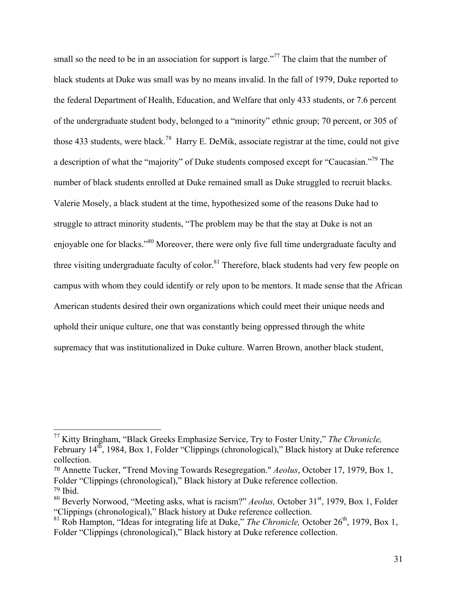small so the need to be in an association for support is large."<sup>77</sup> The claim that the number of black students at Duke was small was by no means invalid. In the fall of 1979, Duke reported to the federal Department of Health, Education, and Welfare that only 433 students, or 7.6 percent of the undergraduate student body, belonged to a "minority" ethnic group; 70 percent, or 305 of those 433 students, were black.<sup>78</sup> Harry E. DeMik, associate registrar at the time, could not give a description of what the "majority" of Duke students composed except for "Caucasian."<sup>79</sup> The number of black students enrolled at Duke remained small as Duke struggled to recruit blacks. Valerie Mosely, a black student at the time, hypothesized some of the reasons Duke had to struggle to attract minority students, "The problem may be that the stay at Duke is not an enjoyable one for blacks."<sup>80</sup> Moreover, there were only five full time undergraduate faculty and three visiting undergraduate faculty of color.<sup>81</sup> Therefore, black students had very few people on campus with whom they could identify or rely upon to be mentors. It made sense that the African American students desired their own organizations which could meet their unique needs and uphold their unique culture, one that was constantly being oppressed through the white supremacy that was institutionalized in Duke culture. Warren Brown, another black student,

 <sup>77</sup> Kitty Bringham, "Black Greeks Emphasize Service, Try to Foster Unity," *The Chronicle,*  February 14<sup>th</sup>, 1984, Box 1, Folder "Clippings (chronological)," Black history at Duke reference collection.

<sup>78</sup> Annette Tucker, "Trend Moving Towards Resegregation." *Aeolus*, October 17, 1979, Box 1, Folder "Clippings (chronological)," Black history at Duke reference collection. <sup>79</sup> Ibid.

<sup>&</sup>lt;sup>80</sup> Beverly Norwood, "Meeting asks, what is racism?" *Aeolus*, October 31<sup>st</sup>, 1979, Box 1, Folder "Clippings (chronological)," Black history at Duke reference collection.

<sup>&</sup>lt;sup>81</sup> Rob Hampton, "Ideas for integrating life at Duke," *The Chronicle*, October  $26<sup>th</sup>$ , 1979, Box 1, Folder "Clippings (chronological)," Black history at Duke reference collection.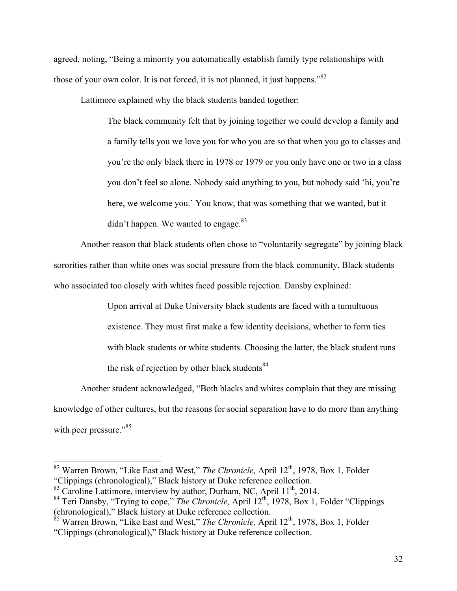agreed, noting, "Being a minority you automatically establish family type relationships with those of your own color. It is not forced, it is not planned, it just happens."<sup>82</sup>

Lattimore explained why the black students banded together:

The black community felt that by joining together we could develop a family and a family tells you we love you for who you are so that when you go to classes and you're the only black there in 1978 or 1979 or you only have one or two in a class you don't feel so alone. Nobody said anything to you, but nobody said 'hi, you're here, we welcome you.' You know, that was something that we wanted, but it didn't happen. We wanted to engage. $83$ 

Another reason that black students often chose to "voluntarily segregate" by joining black sororities rather than white ones was social pressure from the black community. Black students who associated too closely with whites faced possible rejection. Dansby explained:

> Upon arrival at Duke University black students are faced with a tumultuous existence. They must first make a few identity decisions, whether to form ties with black students or white students. Choosing the latter, the black student runs the risk of rejection by other black students $84$

Another student acknowledged, "Both blacks and whites complain that they are missing knowledge of other cultures, but the reasons for social separation have to do more than anything with peer pressure."<sup>85</sup>

<sup>&</sup>lt;sup>82</sup> Warren Brown, "Like East and West," *The Chronicle*, April 12<sup>th</sup>, 1978, Box 1, Folder "Clippings (chronological)," Black history at Duke reference collection.

 $83$  Caroline Lattimore, interview by author, Durham, NC, April 11<sup>th</sup>, 2014.

<sup>&</sup>lt;sup>84</sup> Teri Dansby, "Trying to cope," *The Chronicle*, April 12<sup>th</sup>, 1978, Box 1, Folder "Clippings (chronological)," Black history at Duke reference collection.

<sup>&</sup>lt;sup>85</sup> Warren Brown, "Like East and West," *The Chronicle*, April 12<sup>th</sup>, 1978, Box 1, Folder "Clippings (chronological)," Black history at Duke reference collection.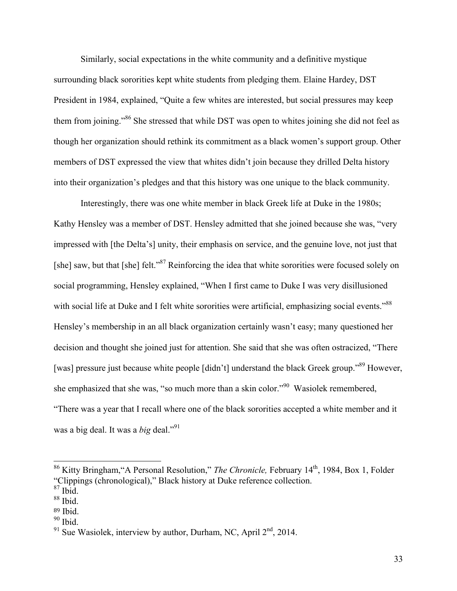Similarly, social expectations in the white community and a definitive mystique surrounding black sororities kept white students from pledging them. Elaine Hardey, DST President in 1984, explained, "Quite a few whites are interested, but social pressures may keep them from joining."<sup>86</sup> She stressed that while DST was open to whites joining she did not feel as though her organization should rethink its commitment as a black women's support group. Other members of DST expressed the view that whites didn't join because they drilled Delta history into their organization's pledges and that this history was one unique to the black community.

Interestingly, there was one white member in black Greek life at Duke in the 1980s; Kathy Hensley was a member of DST. Hensley admitted that she joined because she was, "very impressed with [the Delta's] unity, their emphasis on service, and the genuine love, not just that [she] saw, but that [she] felt."<sup>87</sup> Reinforcing the idea that white sororities were focused solely on social programming, Hensley explained, "When I first came to Duke I was very disillusioned with social life at Duke and I felt white sororities were artificial, emphasizing social events."<sup>88</sup> Hensley's membership in an all black organization certainly wasn't easy; many questioned her decision and thought she joined just for attention. She said that she was often ostracized, "There [was] pressure just because white people [didn't] understand the black Greek group."<sup>89</sup> However, she emphasized that she was, "so much more than a skin color."90 Wasiolek remembered, "There was a year that I recall where one of the black sororities accepted a white member and it was a big deal. It was a *big* deal."<sup>91</sup>

 <sup>86</sup> Kitty Bringham,"A Personal Resolution," *The Chronicle,* February 14th, 1984, Box 1, Folder "Clippings (chronological)," Black history at Duke reference collection. <sup>87</sup> Ibid.

<sup>88</sup> Ibid.

<sup>89</sup> Ibid.

 $90$  Ibid.

 $91$  Sue Wasiolek, interview by author, Durham, NC, April  $2<sup>nd</sup>$ , 2014.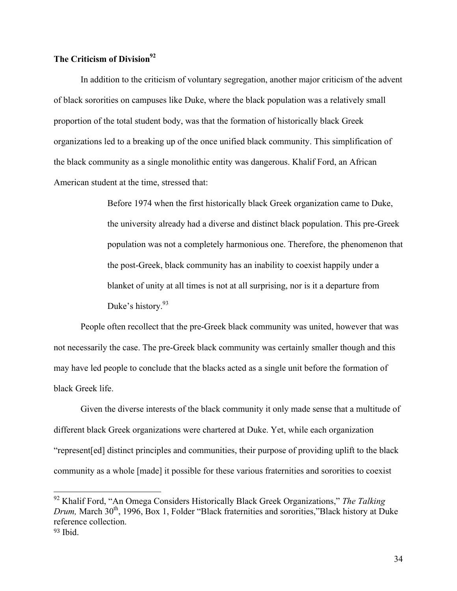# **The Criticism of Division**<sup>92</sup>

In addition to the criticism of voluntary segregation, another major criticism of the advent of black sororities on campuses like Duke, where the black population was a relatively small proportion of the total student body, was that the formation of historically black Greek organizations led to a breaking up of the once unified black community. This simplification of the black community as a single monolithic entity was dangerous. Khalif Ford, an African American student at the time, stressed that:

> Before 1974 when the first historically black Greek organization came to Duke, the university already had a diverse and distinct black population. This pre-Greek population was not a completely harmonious one. Therefore, the phenomenon that the post-Greek, black community has an inability to coexist happily under a blanket of unity at all times is not at all surprising, nor is it a departure from Duke's history.<sup>93</sup>

People often recollect that the pre-Greek black community was united, however that was not necessarily the case. The pre-Greek black community was certainly smaller though and this may have led people to conclude that the blacks acted as a single unit before the formation of black Greek life.

Given the diverse interests of the black community it only made sense that a multitude of different black Greek organizations were chartered at Duke. Yet, while each organization "represent[ed] distinct principles and communities, their purpose of providing uplift to the black community as a whole [made] it possible for these various fraternities and sororities to coexist

 <sup>92</sup> Khalif Ford, "An Omega Considers Historically Black Greek Organizations," *The Talking Drum, March* 30<sup>th</sup>, 1996, Box 1, Folder "Black fraternities and sororities,"Black history at Duke reference collection.

 $93$  Ibid.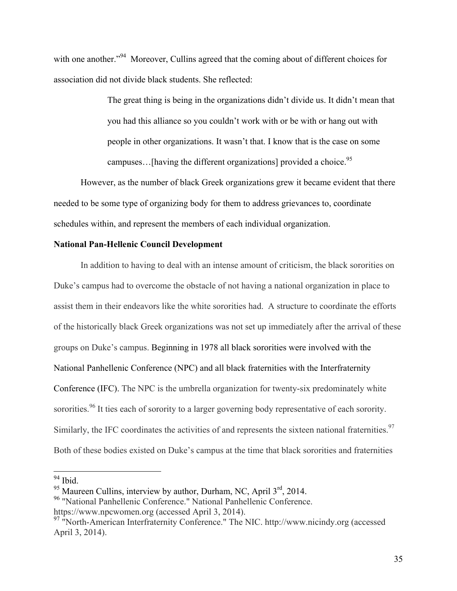with one another."<sup>94</sup> Moreover, Cullins agreed that the coming about of different choices for association did not divide black students. She reflected:

> The great thing is being in the organizations didn't divide us. It didn't mean that you had this alliance so you couldn't work with or be with or hang out with people in other organizations. It wasn't that. I know that is the case on some campuses...[having the different organizations] provided a choice.<sup>95</sup>

However, as the number of black Greek organizations grew it became evident that there needed to be some type of organizing body for them to address grievances to, coordinate schedules within, and represent the members of each individual organization.

# **National Pan-Hellenic Council Development**

In addition to having to deal with an intense amount of criticism, the black sororities on Duke's campus had to overcome the obstacle of not having a national organization in place to assist them in their endeavors like the white sororities had. A structure to coordinate the efforts of the historically black Greek organizations was not set up immediately after the arrival of these groups on Duke's campus. Beginning in 1978 all black sororities were involved with the National Panhellenic Conference (NPC) and all black fraternities with the Interfraternity Conference (IFC). The NPC is the umbrella organization for twenty-six predominately white sororities.<sup>96</sup> It ties each of sorority to a larger governing body representative of each sorority. Similarly, the IFC coordinates the activities of and represents the sixteen national fraternities.<sup>97</sup> Both of these bodies existed on Duke's campus at the time that black sororities and fraternities

 $94$  Ibid.

 $95$  Maureen Cullins, interview by author, Durham, NC, April  $3<sup>rd</sup>$ , 2014.

<sup>&</sup>lt;sup>96</sup> "National Panhellenic Conference." National Panhellenic Conference. https://www.npcwomen.org (accessed April 3, 2014).

<sup>97</sup> "North-American Interfraternity Conference." The NIC. http://www.nicindy.org (accessed April 3, 2014).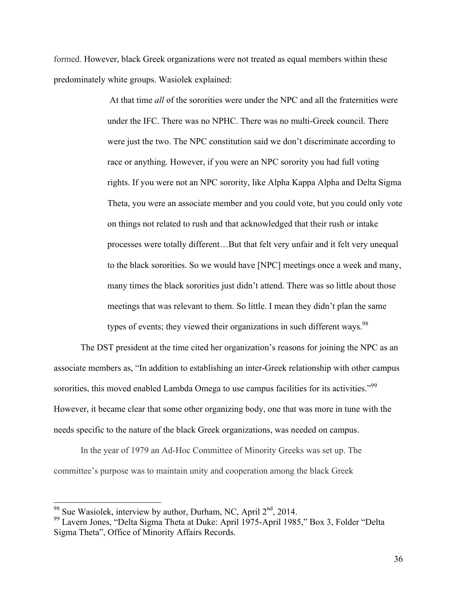formed. However, black Greek organizations were not treated as equal members within these predominately white groups. Wasiolek explained:

> At that time *all* of the sororities were under the NPC and all the fraternities were under the IFC. There was no NPHC. There was no multi-Greek council. There were just the two. The NPC constitution said we don't discriminate according to race or anything. However, if you were an NPC sorority you had full voting rights. If you were not an NPC sorority, like Alpha Kappa Alpha and Delta Sigma Theta, you were an associate member and you could vote, but you could only vote on things not related to rush and that acknowledged that their rush or intake processes were totally different…But that felt very unfair and it felt very unequal to the black sororities. So we would have [NPC] meetings once a week and many, many times the black sororities just didn't attend. There was so little about those meetings that was relevant to them. So little. I mean they didn't plan the same types of events; they viewed their organizations in such different ways.<sup>98</sup>

The DST president at the time cited her organization's reasons for joining the NPC as an associate members as, "In addition to establishing an inter-Greek relationship with other campus sororities, this moved enabled Lambda Omega to use campus facilities for its activities."<sup>99</sup> However, it became clear that some other organizing body, one that was more in tune with the needs specific to the nature of the black Greek organizations, was needed on campus.

In the year of 1979 an Ad-Hoc Committee of Minority Greeks was set up. The committee's purpose was to maintain unity and cooperation among the black Greek

<sup>&</sup>lt;sup>98</sup> Sue Wasiolek, interview by author, Durham, NC, April  $2<sup>nd</sup>$ , 2014.<br><sup>99</sup> Lavern Jones, "Delta Sigma Theta at Duke: April 1975-April 1985," Box 3, Folder "Delta Sigma Theta", Office of Minority Affairs Records.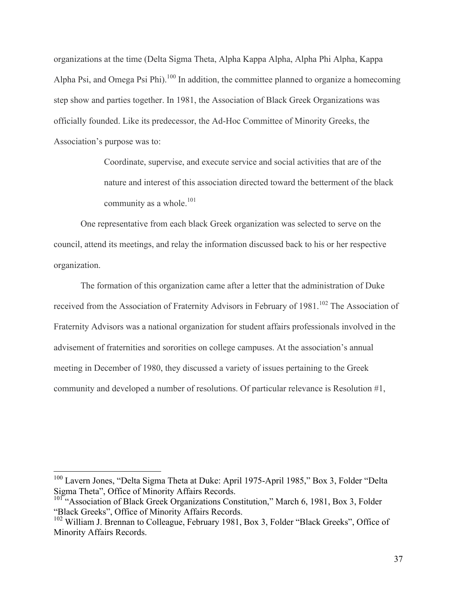organizations at the time (Delta Sigma Theta, Alpha Kappa Alpha, Alpha Phi Alpha, Kappa Alpha Psi, and Omega Psi Phi).<sup>100</sup> In addition, the committee planned to organize a homecoming step show and parties together. In 1981, the Association of Black Greek Organizations was officially founded. Like its predecessor, the Ad-Hoc Committee of Minority Greeks, the Association's purpose was to:

> Coordinate, supervise, and execute service and social activities that are of the nature and interest of this association directed toward the betterment of the black community as a whole. $^{101}$

One representative from each black Greek organization was selected to serve on the council, attend its meetings, and relay the information discussed back to his or her respective organization.

The formation of this organization came after a letter that the administration of Duke received from the Association of Fraternity Advisors in February of 1981.<sup>102</sup> The Association of Fraternity Advisors was a national organization for student affairs professionals involved in the advisement of fraternities and sororities on college campuses. At the association's annual meeting in December of 1980, they discussed a variety of issues pertaining to the Greek community and developed a number of resolutions. Of particular relevance is Resolution #1,

<sup>&</sup>lt;sup>100</sup> Lavern Jones, "Delta Sigma Theta at Duke: April 1975-April 1985," Box 3, Folder "Delta Sigma Theta", Office of Minority Affairs Records.

<sup>&</sup>lt;sup>101</sup> "Association of Black Greek Organizations Constitution," March 6, 1981, Box 3, Folder "Black Greeks", Office of Minority Affairs Records.

 $102$  William J. Brennan to Colleague, February 1981, Box 3, Folder "Black Greeks", Office of Minority Affairs Records.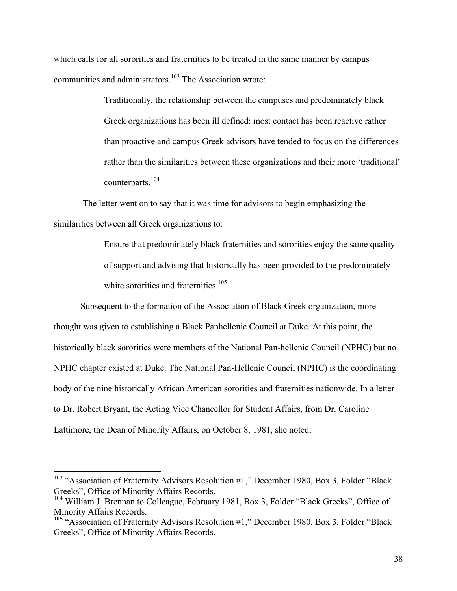which calls for all sororities and fraternities to be treated in the same manner by campus communities and administrators.<sup>103</sup> The Association wrote:

> Traditionally, the relationship between the campuses and predominately black Greek organizations has been ill defined: most contact has been reactive rather than proactive and campus Greek advisors have tended to focus on the differences rather than the similarities between these organizations and their more 'traditional' counterparts.<sup>104</sup>

The letter went on to say that it was time for advisors to begin emphasizing the similarities between all Greek organizations to:

> Ensure that predominately black fraternities and sororities enjoy the same quality of support and advising that historically has been provided to the predominately white sororities and fraternities.<sup>105</sup>

Subsequent to the formation of the Association of Black Greek organization, more thought was given to establishing a Black Panhellenic Council at Duke. At this point, the historically black sororities were members of the National Pan-hellenic Council (NPHC) but no NPHC chapter existed at Duke. The National Pan-Hellenic Council (NPHC) is the coordinating body of the nine historically African American sororities and fraternities nationwide. In a letter to Dr. Robert Bryant, the Acting Vice Chancellor for Student Affairs, from Dr. Caroline Lattimore, the Dean of Minority Affairs, on October 8, 1981, she noted:

<sup>&</sup>lt;sup>103</sup> "Association of Fraternity Advisors Resolution #1," December 1980, Box 3, Folder "Black Greeks", Office of Minority Affairs Records.<br><sup>104</sup> William J. Brennan to Colleague, February 1981, Box 3, Folder "Black Greeks", Office of

Minority Affairs Records.<br><sup>105</sup> "Association of Fraternity Advisors Resolution #1," December 1980, Box 3, Folder "Black

Greeks", Office of Minority Affairs Records.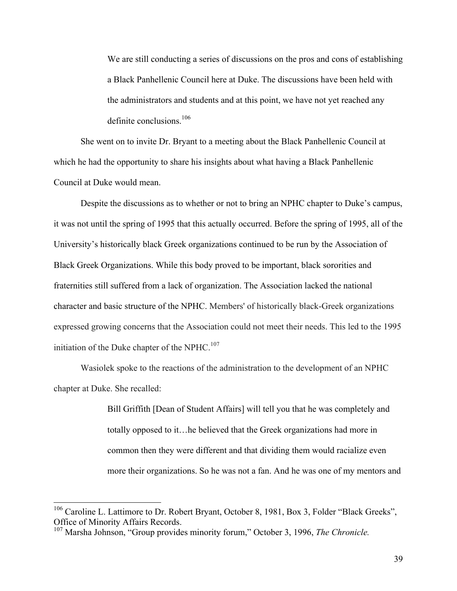We are still conducting a series of discussions on the pros and cons of establishing a Black Panhellenic Council here at Duke. The discussions have been held with the administrators and students and at this point, we have not yet reached any definite conclusions  $106$ 

She went on to invite Dr. Bryant to a meeting about the Black Panhellenic Council at which he had the opportunity to share his insights about what having a Black Panhellenic Council at Duke would mean.

Despite the discussions as to whether or not to bring an NPHC chapter to Duke's campus, it was not until the spring of 1995 that this actually occurred. Before the spring of 1995, all of the University's historically black Greek organizations continued to be run by the Association of Black Greek Organizations. While this body proved to be important, black sororities and fraternities still suffered from a lack of organization. The Association lacked the national character and basic structure of the NPHC. Members' of historically black-Greek organizations expressed growing concerns that the Association could not meet their needs. This led to the 1995 initiation of the Duke chapter of the NPHC. $107$ 

Wasiolek spoke to the reactions of the administration to the development of an NPHC chapter at Duke. She recalled:

> Bill Griffith [Dean of Student Affairs] will tell you that he was completely and totally opposed to it…he believed that the Greek organizations had more in common then they were different and that dividing them would racialize even more their organizations. So he was not a fan. And he was one of my mentors and

<sup>&</sup>lt;sup>106</sup> Caroline L. Lattimore to Dr. Robert Bryant, October 8, 1981, Box 3, Folder "Black Greeks", Office of Minority Affairs Records.

<sup>&</sup>lt;sup>107</sup> Marsha Johnson, "Group provides minority forum," October 3, 1996, *The Chronicle*.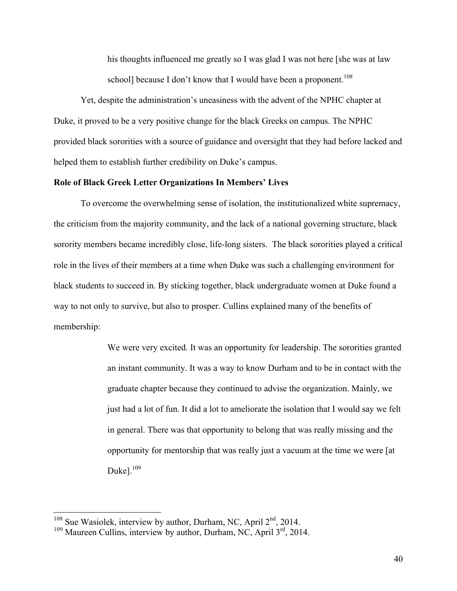his thoughts influenced me greatly so I was glad I was not here [she was at law school] because I don't know that I would have been a proponent.<sup>108</sup>

Yet, despite the administration's uneasiness with the advent of the NPHC chapter at Duke, it proved to be a very positive change for the black Greeks on campus. The NPHC provided black sororities with a source of guidance and oversight that they had before lacked and helped them to establish further credibility on Duke's campus.

# **Role of Black Greek Letter Organizations In Members' Lives**

To overcome the overwhelming sense of isolation, the institutionalized white supremacy, the criticism from the majority community, and the lack of a national governing structure, black sorority members became incredibly close, life-long sisters. The black sororities played a critical role in the lives of their members at a time when Duke was such a challenging environment for black students to succeed in. By sticking together, black undergraduate women at Duke found a way to not only to survive, but also to prosper. Cullins explained many of the benefits of membership:

> We were very excited. It was an opportunity for leadership. The sororities granted an instant community. It was a way to know Durham and to be in contact with the graduate chapter because they continued to advise the organization. Mainly, we just had a lot of fun. It did a lot to ameliorate the isolation that I would say we felt in general. There was that opportunity to belong that was really missing and the opportunity for mentorship that was really just a vacuum at the time we were [at Duke]. $109$

<sup>&</sup>lt;sup>108</sup> Sue Wasiolek, interview by author, Durham, NC, April  $2<sup>nd</sup>$ , 2014.<br><sup>109</sup> Maureen Cullins, interview by author, Durham, NC, April  $3<sup>rd</sup>$ , 2014.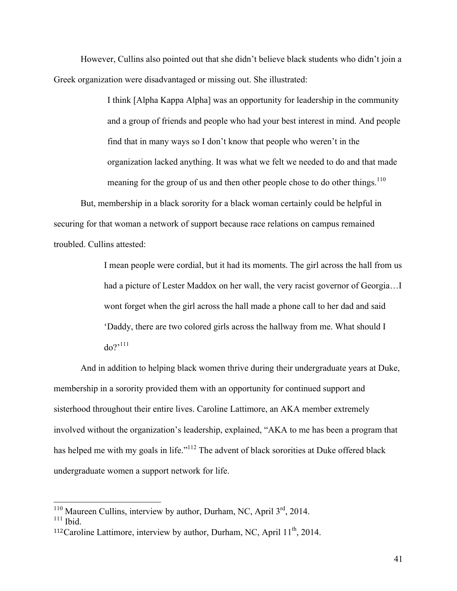However, Cullins also pointed out that she didn't believe black students who didn't join a Greek organization were disadvantaged or missing out. She illustrated:

> I think [Alpha Kappa Alpha] was an opportunity for leadership in the community and a group of friends and people who had your best interest in mind. And people find that in many ways so I don't know that people who weren't in the organization lacked anything. It was what we felt we needed to do and that made meaning for the group of us and then other people chose to do other things.<sup>110</sup>

But, membership in a black sorority for a black woman certainly could be helpful in securing for that woman a network of support because race relations on campus remained troubled. Cullins attested:

> I mean people were cordial, but it had its moments. The girl across the hall from us had a picture of Lester Maddox on her wall, the very racist governor of Georgia…I wont forget when the girl across the hall made a phone call to her dad and said 'Daddy, there are two colored girls across the hallway from me. What should I  $do?$ <sup>111</sup>

And in addition to helping black women thrive during their undergraduate years at Duke, membership in a sorority provided them with an opportunity for continued support and sisterhood throughout their entire lives. Caroline Lattimore, an AKA member extremely involved without the organization's leadership, explained, "AKA to me has been a program that has helped me with my goals in life."<sup>112</sup> The advent of black sororities at Duke offered black undergraduate women a support network for life.

<sup>&</sup>lt;sup>110</sup> Maureen Cullins, interview by author, Durham, NC, April  $3<sup>rd</sup>$ , 2014.<br><sup>111</sup> Ibid.

<sup>&</sup>lt;sup>112</sup>Caroline Lattimore, interview by author, Durham, NC, April  $11<sup>th</sup>$ , 2014.